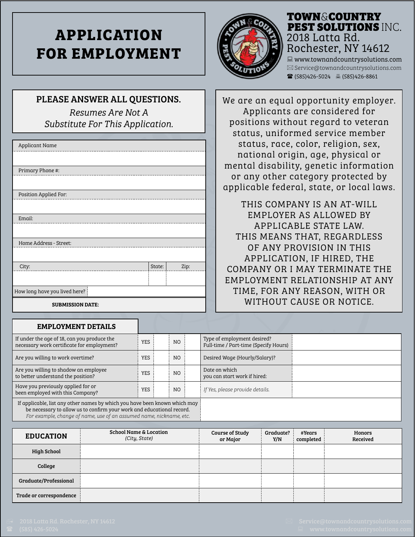# **APPLICATION FOR EMPLOYMENT**



## TOWN & COUNTRY PEST SOLUTIONS INC. 2018 Latta Rd. Rochester, NY 14612 www.townandcountrysolutions.com

 $\boxtimes$  Service@townandcountrysolutions.com  $\mathbf{\widehat{a}}$  (585)426-5024  $\mathbf{\widehat{a}}$  (585)426-8861

#### PLEASE ANSWER ALL QUESTIONS.

*Resumes Are Not A Substitute For This Application.*

| Applicant Name                |        |      |
|-------------------------------|--------|------|
|                               |        |      |
| Primary Phone #:              |        |      |
|                               |        |      |
| Position Applied For:         |        |      |
|                               |        |      |
| Email:                        |        |      |
|                               |        |      |
| Home Address - Street:        |        |      |
|                               |        |      |
| City:                         | State: | Zip: |
|                               |        |      |
| How long have you lived here? |        |      |
| <b>SUBMISSION DATE:</b>       |        |      |

## We are an equal opportunity employer. Applicants are considered for positions without regard to veteran status, uniformed service member status, race, color, religion, sex, national origin, age, physical or mental disability, genetic information or any other category protected by applicable federal, state, or local laws.

THIS COMPANY IS AN AT-WILL EMPLOYER AS ALLOWED BY APPLICABLE STATE LAW. THIS MEANS THAT, REGARDLESS OF ANY PROVISION IN THIS APPLICATION, IF HIRED, THE COMPANY OR I MAY TERMINATE THE EMPLOYMENT RELATIONSHIP AT ANY TIME, FOR ANY REASON, WITH OR WITHOUT CAUSE OR NOTICE.

| <b>EMPLOYMENT DETAILS</b>                                                                                                                                                                                                  |            |     |                                                                      |  |
|----------------------------------------------------------------------------------------------------------------------------------------------------------------------------------------------------------------------------|------------|-----|----------------------------------------------------------------------|--|
| If under the age of 18, can you produce the<br>necessary work certificate for employment?                                                                                                                                  | <b>YES</b> | NO. | Type of employment desired?<br>Full-time / Part-time (Specify Hours) |  |
| Are you willing to work overtime?                                                                                                                                                                                          | YES        | NO. | Desired Wage (Hourly/Salary)?                                        |  |
| Are you willing to shadow an employee<br>to better understand the position?                                                                                                                                                | <b>YES</b> | NO. | Date on which<br>you can start work if hired:                        |  |
| Have you previously applied for or<br>been employed with this Company?                                                                                                                                                     | <b>YES</b> | NO. | If Yes, please provide details.                                      |  |
| If applicable, list any other names by which you have been known which may<br>be necessary to allow us to confirm your work and educational record.<br>For example, change of name, use of an assumed name, nickname, etc. |            |     |                                                                      |  |

| <b>EDUCATION</b>        | <b>School Name &amp; Location</b><br>(City, State) | <b>Course of Study</b><br>or Major | Graduate?<br>Y/N | #Years<br>completed | Honors<br>Received |
|-------------------------|----------------------------------------------------|------------------------------------|------------------|---------------------|--------------------|
| <b>High School</b>      |                                                    |                                    |                  |                     |                    |
| College                 |                                                    |                                    |                  |                     |                    |
| Graduate/Professional   |                                                    |                                    |                  |                     |                    |
| Trade or correspondence |                                                    |                                    |                  |                     |                    |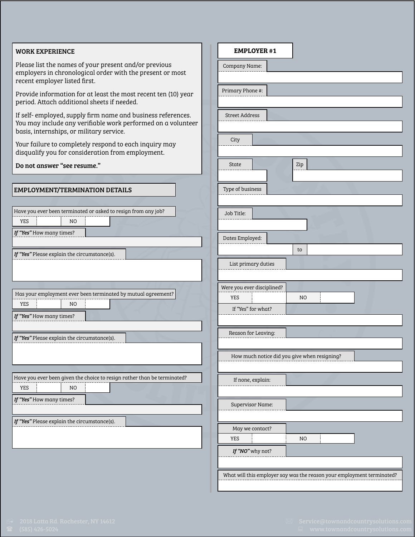#### WORK EXPERIENCE

Please list the names of your present and/or previous employers in chronological order with the present or most recent employer listed first.

Provide information for at least the most recent ten (10) year period. Attach additional sheets if needed.

If self- employed, supply firm name and business references. You may include any verifiable work performed on a volunteer basis, internships, or military service.

Your failure to completely respond to each inquiry may disqualify you for consideration from employment.

| Do not answer "see resume."                                              | Zip<br>State                                                           |
|--------------------------------------------------------------------------|------------------------------------------------------------------------|
|                                                                          |                                                                        |
| <b>EMPLOYMENT/TERMINATION DETAILS</b>                                    | Type of business                                                       |
|                                                                          |                                                                        |
| Have you ever been terminated or asked to resign from any job?           | Job Title:                                                             |
| <b>YES</b><br>N <sub>O</sub>                                             |                                                                        |
| If "Yes" How many times?                                                 | Dates Employed:                                                        |
| If "Yes" Please explain the circumstance(s).                             | to                                                                     |
|                                                                          | List primary duties                                                    |
|                                                                          |                                                                        |
| Has your employment ever been terminated by mutual agreement?            | Were you ever disciplined?                                             |
| <b>YES</b><br>N <sub>O</sub>                                             | N <sub>O</sub><br>YES                                                  |
| If "Yes" How many times?                                                 | If "Yes" for what?                                                     |
|                                                                          |                                                                        |
| If "Yes" Please explain the circumstance(s).                             | Reason for Leaving:                                                    |
|                                                                          |                                                                        |
|                                                                          | How much notice did you give when resigning?                           |
|                                                                          |                                                                        |
| Have you ever been given the choice to resign rather than be terminated? | If none, explain:                                                      |
| <b>YES</b><br>N <sub>O</sub>                                             |                                                                        |
| If "Yes" How many times?                                                 | Supervisor Name:                                                       |
|                                                                          |                                                                        |
| If "Yes" Please explain the circumstance(s).                             | May we contact?                                                        |
|                                                                          | <b>YES</b><br>N <sub>O</sub>                                           |
|                                                                          | If "NO" why not?                                                       |
|                                                                          |                                                                        |
|                                                                          | What will this employer say was the reason your employment terminated? |
|                                                                          |                                                                        |

EMPLOYER #1

Company Name:

Primary Phone #:

Street Address

**City**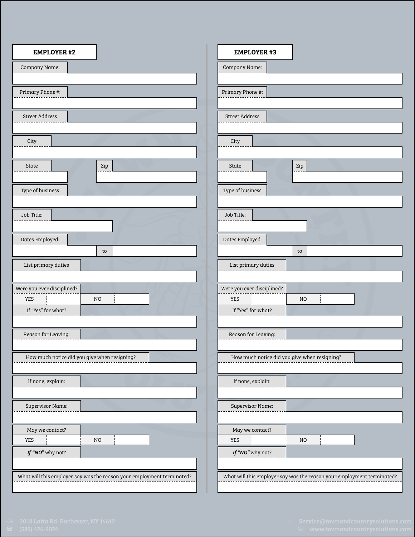| <b>EMPLOYER #2</b>                                                     | <b>EMPLOYER #3</b>                                                     |
|------------------------------------------------------------------------|------------------------------------------------------------------------|
| Company Name:                                                          | Company Name:                                                          |
|                                                                        |                                                                        |
| Primary Phone #:                                                       | Primary Phone #:                                                       |
|                                                                        |                                                                        |
| Street Address                                                         | <b>Street Address</b>                                                  |
|                                                                        |                                                                        |
| City                                                                   | City                                                                   |
|                                                                        |                                                                        |
| <b>State</b><br>Zip                                                    | $\rm{Zip}$<br><b>State</b>                                             |
|                                                                        |                                                                        |
| Type of business                                                       | Type of business                                                       |
|                                                                        |                                                                        |
| Job Title:                                                             | Job Title:                                                             |
|                                                                        |                                                                        |
| Dates Employed:                                                        | Dates Employed:                                                        |
| to                                                                     | to                                                                     |
| List primary duties                                                    | List primary duties                                                    |
|                                                                        |                                                                        |
| Were you ever disciplined?                                             | Were you ever disciplined?                                             |
| <b>YES</b><br>N <sub>O</sub>                                           | YES<br>N <sub>O</sub>                                                  |
| If "Yes" for what?                                                     | If "Yes" for what?                                                     |
|                                                                        |                                                                        |
| Reason for Leaving:                                                    | Reason for Leaving:<br>-------------------------                       |
|                                                                        |                                                                        |
| How much notice did you give when resigning?                           | How much notice did you give when resigning?                           |
|                                                                        |                                                                        |
| If none, explain:                                                      | If none, explain:                                                      |
|                                                                        |                                                                        |
| Supervisor Name:                                                       | Supervisor Name:                                                       |
|                                                                        |                                                                        |
| May we contact?                                                        | May we contact?                                                        |
| YES<br>N <sub>O</sub>                                                  | N <sub>O</sub><br>YES                                                  |
| If "NO" why not?                                                       | If "NO" why not?                                                       |
|                                                                        |                                                                        |
| What will this employer say was the reason your employment terminated? | What will this employer say was the reason your employment terminated? |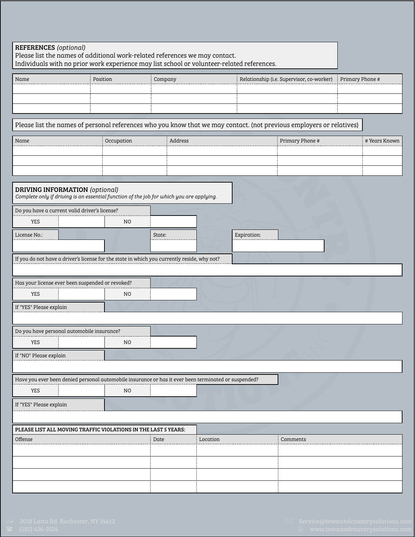| <b>REFERENCES</b> (optional)<br>Please list the names of additional work-related references we may contact.<br>Individuals with no prior work experience may list school or volunteer-related references. |                |         |          |             |                                           |                 |
|-----------------------------------------------------------------------------------------------------------------------------------------------------------------------------------------------------------|----------------|---------|----------|-------------|-------------------------------------------|-----------------|
| Name                                                                                                                                                                                                      | Position       | Company |          |             | Relationship (i.e. Supervisor, co-worker) | Primary Phone # |
|                                                                                                                                                                                                           |                |         |          |             |                                           |                 |
|                                                                                                                                                                                                           |                |         |          |             |                                           |                 |
| Please list the names of personal references who you know that we may contact. (not previous employers or relatives)                                                                                      |                |         |          |             |                                           |                 |
| Name                                                                                                                                                                                                      | Occupation     | Address |          |             | Primary Phone #                           | # Years Known   |
|                                                                                                                                                                                                           |                |         |          |             |                                           |                 |
|                                                                                                                                                                                                           |                |         |          |             |                                           |                 |
|                                                                                                                                                                                                           |                |         |          |             |                                           |                 |
| <b>DRIVING INFORMATION</b> (optional)<br>Complete only if driving is an essential function of the job for which you are applying.                                                                         |                |         |          |             |                                           |                 |
| Do you have a current valid driver's license?                                                                                                                                                             |                |         |          |             |                                           |                 |
| <b>YES</b>                                                                                                                                                                                                | N <sub>O</sub> |         |          |             |                                           |                 |
| License No.:                                                                                                                                                                                              |                | State:  |          | Expiration: |                                           |                 |
| If you do not have a driver's license for the state in which you currently reside, why not?                                                                                                               |                |         |          |             |                                           |                 |
|                                                                                                                                                                                                           |                |         |          |             |                                           |                 |
| Has your license ever been suspended or revoked?                                                                                                                                                          |                |         |          |             |                                           |                 |
| <b>YES</b>                                                                                                                                                                                                | NO.            |         |          |             |                                           |                 |
| If "YES" Please explain                                                                                                                                                                                   |                |         |          |             |                                           |                 |
|                                                                                                                                                                                                           |                |         |          |             |                                           |                 |
| Do you have personal automobile insurance?                                                                                                                                                                |                |         |          |             |                                           |                 |
| YES                                                                                                                                                                                                       | NO.            |         |          |             |                                           |                 |
| If "NO" Please explain                                                                                                                                                                                    |                |         |          |             |                                           |                 |
|                                                                                                                                                                                                           |                |         |          |             |                                           |                 |
| Have you ever been denied personal automobile insurance or has it ever been terminated or suspended?                                                                                                      |                |         |          |             |                                           |                 |
| YES                                                                                                                                                                                                       | NO.            |         |          |             |                                           |                 |
| If "YES" Please explain                                                                                                                                                                                   |                |         |          |             |                                           |                 |
|                                                                                                                                                                                                           |                |         |          |             |                                           |                 |
| PLEASE LIST ALL MOVING TRAFFIC VIOLATIONS IN THE LAST 5 YEARS:                                                                                                                                            |                |         |          |             |                                           |                 |
| Offense                                                                                                                                                                                                   |                | Date    | Location |             | Comments                                  |                 |
|                                                                                                                                                                                                           |                |         |          |             |                                           |                 |
|                                                                                                                                                                                                           |                |         |          |             |                                           |                 |
|                                                                                                                                                                                                           |                |         |          |             |                                           |                 |
|                                                                                                                                                                                                           |                |         |          |             |                                           |                 |